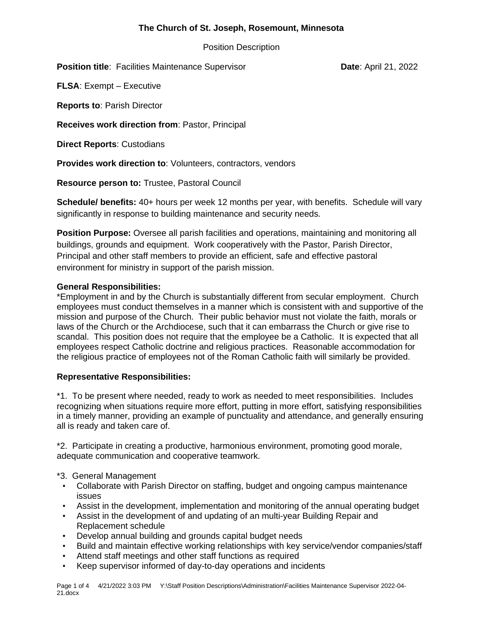# **The Church of St. Joseph, Rosemount, Minnesota**

Position Description

**Position title:** Facilities Maintenance Supervisor **Date: April 21, 2022** 

**FLSA**: Exempt – Executive

**Reports to**: Parish Director

**Receives work direction from**: Pastor, Principal

**Direct Reports**: Custodians

**Provides work direction to**: Volunteers, contractors, vendors

**Resource person to:** Trustee, Pastoral Council

**Schedule/ benefits:** 40+ hours per week 12 months per year, with benefits. Schedule will vary significantly in response to building maintenance and security needs.

**Position Purpose:** Oversee all parish facilities and operations, maintaining and monitoring all buildings, grounds and equipment. Work cooperatively with the Pastor, Parish Director, Principal and other staff members to provide an efficient, safe and effective pastoral environment for ministry in support of the parish mission.

## **General Responsibilities:**

\*Employment in and by the Church is substantially different from secular employment. Church employees must conduct themselves in a manner which is consistent with and supportive of the mission and purpose of the Church. Their public behavior must not violate the faith, morals or laws of the Church or the Archdiocese, such that it can embarrass the Church or give rise to scandal. This position does not require that the employee be a Catholic. It is expected that all employees respect Catholic doctrine and religious practices. Reasonable accommodation for the religious practice of employees not of the Roman Catholic faith will similarly be provided.

## **Representative Responsibilities:**

\*1. To be present where needed, ready to work as needed to meet responsibilities. Includes recognizing when situations require more effort, putting in more effort, satisfying responsibilities in a timely manner, providing an example of punctuality and attendance, and generally ensuring all is ready and taken care of.

\*2. Participate in creating a productive, harmonious environment, promoting good morale, adequate communication and cooperative teamwork.

- \*3. General Management
- Collaborate with Parish Director on staffing, budget and ongoing campus maintenance issues
- Assist in the development, implementation and monitoring of the annual operating budget
- Assist in the development of and updating of an multi-year Building Repair and Replacement schedule
- Develop annual building and grounds capital budget needs
- Build and maintain effective working relationships with key service/vendor companies/staff
- Attend staff meetings and other staff functions as required
- Keep supervisor informed of day-to-day operations and incidents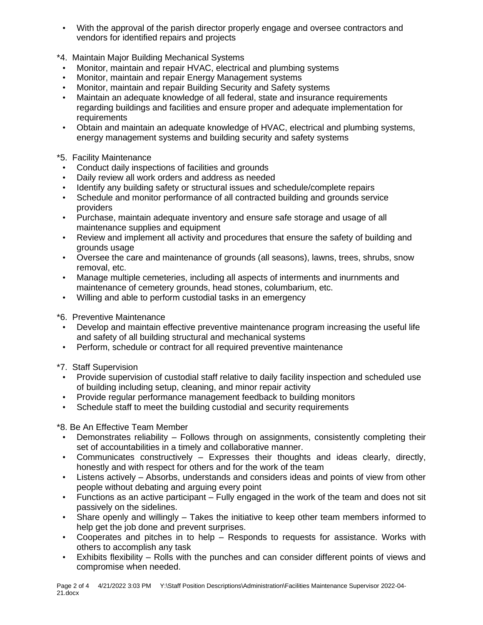- With the approval of the parish director properly engage and oversee contractors and vendors for identified repairs and projects
- \*4. Maintain Major Building Mechanical Systems
- Monitor, maintain and repair HVAC, electrical and plumbing systems
- Monitor, maintain and repair Energy Management systems
- Monitor, maintain and repair Building Security and Safety systems
- Maintain an adequate knowledge of all federal, state and insurance requirements regarding buildings and facilities and ensure proper and adequate implementation for requirements
- Obtain and maintain an adequate knowledge of HVAC, electrical and plumbing systems, energy management systems and building security and safety systems

## \*5. Facility Maintenance

- Conduct daily inspections of facilities and grounds
- Daily review all work orders and address as needed
- Identify any building safety or structural issues and schedule/complete repairs
- Schedule and monitor performance of all contracted building and grounds service providers
- Purchase, maintain adequate inventory and ensure safe storage and usage of all maintenance supplies and equipment
- Review and implement all activity and procedures that ensure the safety of building and grounds usage
- Oversee the care and maintenance of grounds (all seasons), lawns, trees, shrubs, snow removal, etc.
- Manage multiple cemeteries, including all aspects of interments and inurnments and maintenance of cemetery grounds, head stones, columbarium, etc.
- Willing and able to perform custodial tasks in an emergency
- \*6. Preventive Maintenance
- Develop and maintain effective preventive maintenance program increasing the useful life and safety of all building structural and mechanical systems
- Perform, schedule or contract for all required preventive maintenance
- \*7. Staff Supervision
- Provide supervision of custodial staff relative to daily facility inspection and scheduled use of building including setup, cleaning, and minor repair activity
- Provide regular performance management feedback to building monitors
- Schedule staff to meet the building custodial and security requirements

### \*8. Be An Effective Team Member

- Demonstrates reliability Follows through on assignments, consistently completing their set of accountabilities in a timely and collaborative manner.
- Communicates constructively Expresses their thoughts and ideas clearly, directly, honestly and with respect for others and for the work of the team
- Listens actively Absorbs, understands and considers ideas and points of view from other people without debating and arguing every point
- Functions as an active participant Fully engaged in the work of the team and does not sit passively on the sidelines.
- Share openly and willingly Takes the initiative to keep other team members informed to help get the job done and prevent surprises.
- Cooperates and pitches in to help Responds to requests for assistance. Works with others to accomplish any task
- Exhibits flexibility Rolls with the punches and can consider different points of views and compromise when needed.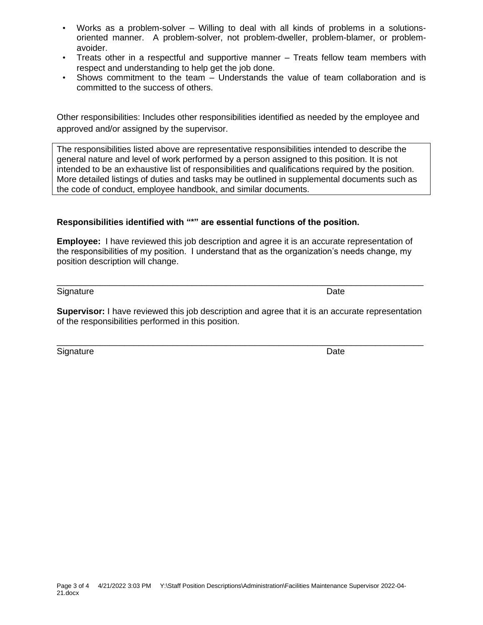- Works as a problem-solver Willing to deal with all kinds of problems in a solutionsoriented manner. A problem-solver, not problem-dweller, problem-blamer, or problemavoider.
- Treats other in a respectful and supportive manner Treats fellow team members with respect and understanding to help get the job done.
- Shows commitment to the team Understands the value of team collaboration and is committed to the success of others.

Other responsibilities: Includes other responsibilities identified as needed by the employee and approved and/or assigned by the supervisor.

The responsibilities listed above are representative responsibilities intended to describe the general nature and level of work performed by a person assigned to this position. It is not intended to be an exhaustive list of responsibilities and qualifications required by the position. More detailed listings of duties and tasks may be outlined in supplemental documents such as the code of conduct, employee handbook, and similar documents.

# **Responsibilities identified with "\*" are essential functions of the position.**

**Employee:** I have reviewed this job description and agree it is an accurate representation of the responsibilities of my position. I understand that as the organization's needs change, my position description will change.

Signature Date Date Contract and the Date Date Date Date Date

**Supervisor:** I have reviewed this job description and agree that it is an accurate representation of the responsibilities performed in this position.

\_\_\_\_\_\_\_\_\_\_\_\_\_\_\_\_\_\_\_\_\_\_\_\_\_\_\_\_\_\_\_\_\_\_\_\_\_\_\_\_\_\_\_\_\_\_\_\_\_\_\_\_\_\_\_\_\_\_\_\_\_\_\_\_\_\_\_\_\_\_\_\_\_\_\_\_

Signature Date Date Contract and the Date Date Date Date Date

# \_\_\_\_\_\_\_\_\_\_\_\_\_\_\_\_\_\_\_\_\_\_\_\_\_\_\_\_\_\_\_\_\_\_\_\_\_\_\_\_\_\_\_\_\_\_\_\_\_\_\_\_\_\_\_\_\_\_\_\_\_\_\_\_\_\_\_\_\_\_\_\_\_\_\_\_